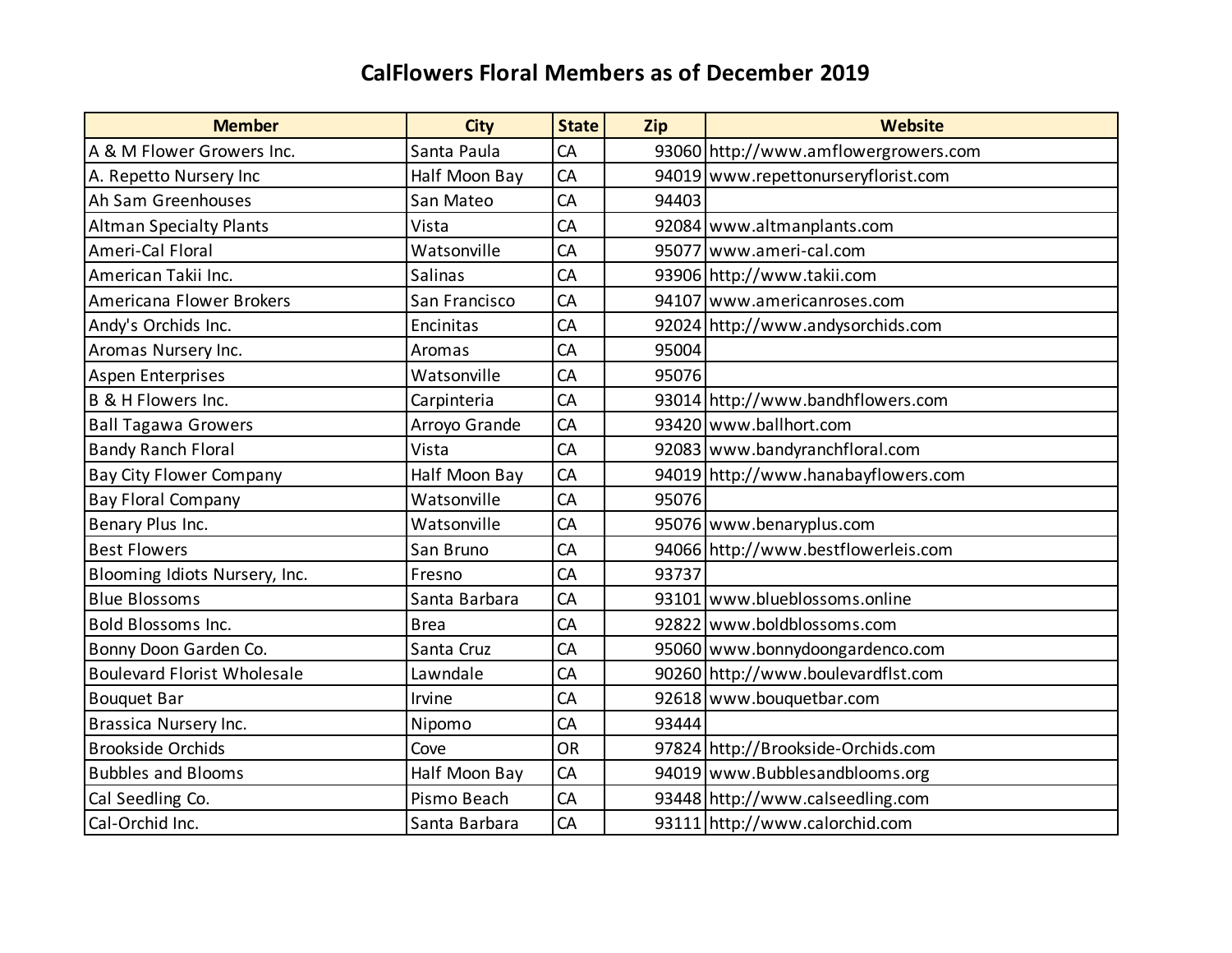| <b>Member</b>                      | <b>City</b>   | <b>State</b> | Zip   | <b>Website</b>                       |
|------------------------------------|---------------|--------------|-------|--------------------------------------|
| A & M Flower Growers Inc.          | Santa Paula   | CA           |       | 93060 http://www.amflowergrowers.com |
| A. Repetto Nursery Inc             | Half Moon Bay | CA           |       | 94019 www.repettonurseryflorist.com  |
| Ah Sam Greenhouses                 | San Mateo     | CA           | 94403 |                                      |
| <b>Altman Specialty Plants</b>     | Vista         | CA           |       | 92084 www.altmanplants.com           |
| Ameri-Cal Floral                   | Watsonville   | <b>CA</b>    |       | 95077 www.ameri-cal.com              |
| American Takii Inc.                | Salinas       | CA           |       | 93906 http://www.takii.com           |
| Americana Flower Brokers           | San Francisco | CA           |       | 94107 www.americanroses.com          |
| Andy's Orchids Inc.                | Encinitas     | CA           |       | 92024 http://www.andysorchids.com    |
| Aromas Nursery Inc.                | Aromas        | CA           | 95004 |                                      |
| <b>Aspen Enterprises</b>           | Watsonville   | CA           | 95076 |                                      |
| B & H Flowers Inc.                 | Carpinteria   | CA           |       | 93014 http://www.bandhflowers.com    |
| <b>Ball Tagawa Growers</b>         | Arroyo Grande | CA           |       | 93420 www.ballhort.com               |
| <b>Bandy Ranch Floral</b>          | Vista         | CA           |       | 92083 www.bandyranchfloral.com       |
| <b>Bay City Flower Company</b>     | Half Moon Bay | CA           |       | 94019 http://www.hanabayflowers.com  |
| Bay Floral Company                 | Watsonville   | CA           | 95076 |                                      |
| Benary Plus Inc.                   | Watsonville   | CA           |       | 95076 www.benaryplus.com             |
| <b>Best Flowers</b>                | San Bruno     | CA           |       | 94066 http://www.bestflowerleis.com  |
| Blooming Idiots Nursery, Inc.      | Fresno        | CA           | 93737 |                                      |
| <b>Blue Blossoms</b>               | Santa Barbara | CA           |       | 93101 www.blueblossoms.online        |
| <b>Bold Blossoms Inc.</b>          | <b>Brea</b>   | CA           |       | 92822 www.boldblossoms.com           |
| Bonny Doon Garden Co.              | Santa Cruz    | CA           |       | 95060 www.bonnydoongardenco.com      |
| <b>Boulevard Florist Wholesale</b> | Lawndale      | CA           |       | 90260 http://www.boulevardflst.com   |
| <b>Bouquet Bar</b>                 | Irvine        | CA           |       | 92618 www.bouquetbar.com             |
| Brassica Nursery Inc.              | Nipomo        | CA           | 93444 |                                      |
| <b>Brookside Orchids</b>           | Cove          | <b>OR</b>    |       | 97824 http://Brookside-Orchids.com   |
| <b>Bubbles and Blooms</b>          | Half Moon Bay | CA           |       | 94019 www.Bubblesandblooms.org       |
| Cal Seedling Co.                   | Pismo Beach   | CA           |       | 93448 http://www.calseedling.com     |
| Cal-Orchid Inc.                    | Santa Barbara | CA           |       | 93111 http://www.calorchid.com       |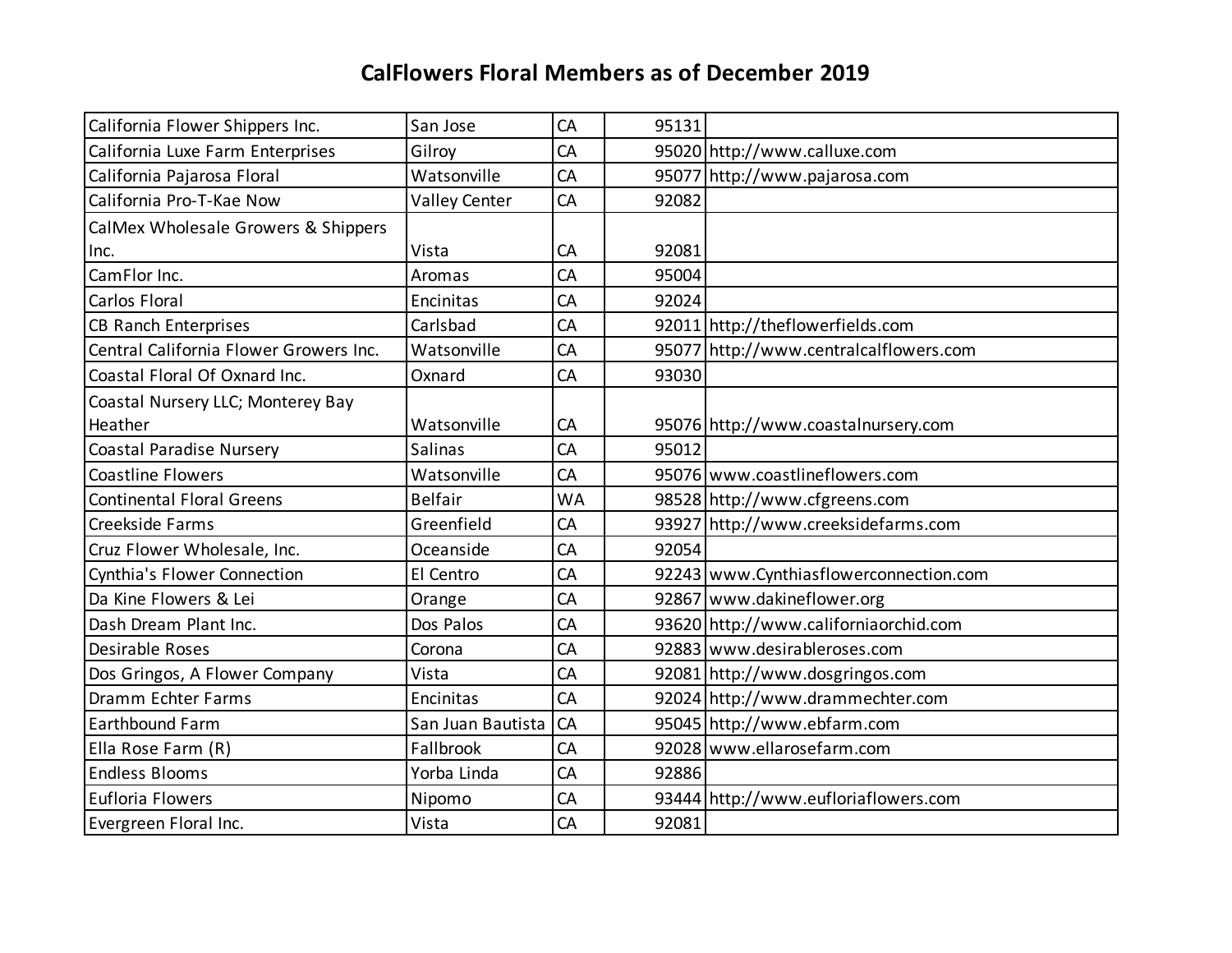| California Flower Shippers Inc.        | San Jose             | CA        | 95131 |                                        |
|----------------------------------------|----------------------|-----------|-------|----------------------------------------|
| California Luxe Farm Enterprises       | Gilroy               | CA        |       | 95020 http://www.calluxe.com           |
| California Pajarosa Floral             | Watsonville          | CA        |       | 95077 http://www.pajarosa.com          |
| California Pro-T-Kae Now               | <b>Valley Center</b> | CA        | 92082 |                                        |
| CalMex Wholesale Growers & Shippers    |                      |           |       |                                        |
| Inc.                                   | Vista                | CA        | 92081 |                                        |
| CamFlor Inc.                           | Aromas               | CA        | 95004 |                                        |
| Carlos Floral                          | Encinitas            | CA        | 92024 |                                        |
| <b>CB Ranch Enterprises</b>            | Carlsbad             | CA        |       | 92011 http://theflowerfields.com       |
| Central California Flower Growers Inc. | Watsonville          | CA        |       | 95077 http://www.centralcalflowers.com |
| Coastal Floral Of Oxnard Inc.          | Oxnard               | CA        | 93030 |                                        |
| Coastal Nursery LLC; Monterey Bay      |                      |           |       |                                        |
| Heather                                | Watsonville          | CA        |       | 95076 http://www.coastalnursery.com    |
| <b>Coastal Paradise Nursery</b>        | Salinas              | CA        | 95012 |                                        |
| <b>Coastline Flowers</b>               | Watsonville          | CA        |       | 95076 www.coastlineflowers.com         |
| <b>Continental Floral Greens</b>       | <b>Belfair</b>       | <b>WA</b> |       | 98528 http://www.cfgreens.com          |
| Creekside Farms                        | Greenfield           | CA        |       | 93927 http://www.creeksidefarms.com    |
| Cruz Flower Wholesale, Inc.            | Oceanside            | CA        | 92054 |                                        |
| Cynthia's Flower Connection            | El Centro            | CA        |       | 92243 www.Cynthiasflowerconnection.com |
| Da Kine Flowers & Lei                  | Orange               | CA        |       | 92867 www.dakineflower.org             |
| Dash Dream Plant Inc.                  | Dos Palos            | CA        |       | 93620 http://www.californiaorchid.com  |
| Desirable Roses                        | Corona               | CA        |       | 92883 www.desirableroses.com           |
| Dos Gringos, A Flower Company          | Vista                | CA        |       | 92081 http://www.dosgringos.com        |
| Dramm Echter Farms                     | Encinitas            | CA        |       | 92024 http://www.drammechter.com       |
| <b>Earthbound Farm</b>                 | San Juan Bautista    | CA        |       | 95045 http://www.ebfarm.com            |
| Ella Rose Farm (R)                     | Fallbrook            | CA        |       | 92028 www.ellarosefarm.com             |
| <b>Endless Blooms</b>                  | Yorba Linda          | CA        | 92886 |                                        |
| Eufloria Flowers                       | Nipomo               | CA        |       | 93444 http://www.eufloriaflowers.com   |
| Evergreen Floral Inc.                  | Vista                | CA        | 92081 |                                        |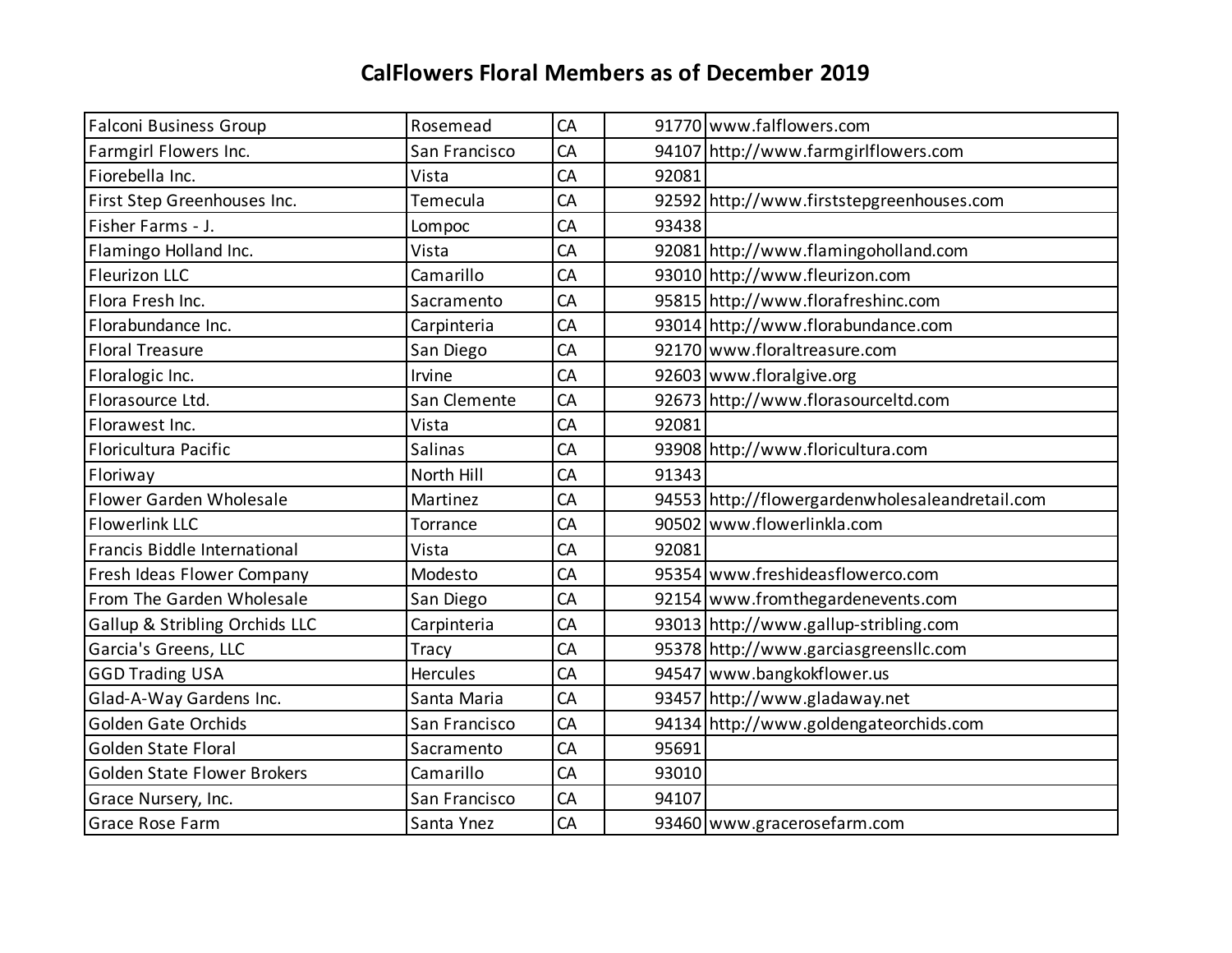| Falconi Business Group             | Rosemead        | CA        |       | 91770 www.falflowers.com                        |
|------------------------------------|-----------------|-----------|-------|-------------------------------------------------|
| Farmgirl Flowers Inc.              | San Francisco   | CA        |       | 94107 http://www.farmgirlflowers.com            |
| Fiorebella Inc.                    | Vista           | CA        | 92081 |                                                 |
| First Step Greenhouses Inc.        | Temecula        | CA        |       | 92592 http://www.firststepgreenhouses.com       |
| Fisher Farms - J.                  | Lompoc          | <b>CA</b> | 93438 |                                                 |
| Flamingo Holland Inc.              | Vista           | CA        |       | 92081 http://www.flamingoholland.com            |
| <b>Fleurizon LLC</b>               | Camarillo       | CA        |       | 93010 http://www.fleurizon.com                  |
| Flora Fresh Inc.                   | Sacramento      | CA        |       | 95815 http://www.florafreshinc.com              |
| Florabundance Inc.                 | Carpinteria     | CA        |       | 93014 http://www.florabundance.com              |
| <b>Floral Treasure</b>             | San Diego       | CA        |       | 92170 www.floraltreasure.com                    |
| Floralogic Inc.                    | Irvine          | CA        |       | 92603 www.floralgive.org                        |
| Florasource Ltd.                   | San Clemente    | CA        |       | 92673 http://www.florasourceltd.com             |
| Florawest Inc.                     | Vista           | CA        | 92081 |                                                 |
| Floricultura Pacific               | Salinas         | CA        |       | 93908 http://www.floricultura.com               |
| Floriway                           | North Hill      | CA        | 91343 |                                                 |
| Flower Garden Wholesale            | Martinez        | CA        |       | 94553 http://flowergardenwholesaleandretail.com |
| <b>Flowerlink LLC</b>              | Torrance        | CA        |       | 90502 www.flowerlinkla.com                      |
| Francis Biddle International       | Vista           | CA        | 92081 |                                                 |
| Fresh Ideas Flower Company         | Modesto         | CA        |       | 95354 www.freshideasflowerco.com                |
| From The Garden Wholesale          | San Diego       | CA        |       | 92154 www.fromthegardenevents.com               |
| Gallup & Stribling Orchids LLC     | Carpinteria     | CA        |       | 93013 http://www.gallup-stribling.com           |
| Garcia's Greens, LLC               | Tracy           | CA        |       | 95378 http://www.garciasgreensllc.com           |
| <b>GGD Trading USA</b>             | <b>Hercules</b> | CA        |       | 94547 www.bangkokflower.us                      |
| Glad-A-Way Gardens Inc.            | Santa Maria     | CA        |       | 93457 http://www.gladaway.net                   |
| <b>Golden Gate Orchids</b>         | San Francisco   | CA        |       | 94134 http://www.goldengateorchids.com          |
| <b>Golden State Floral</b>         | Sacramento      | CA        | 95691 |                                                 |
| <b>Golden State Flower Brokers</b> | Camarillo       | CA        | 93010 |                                                 |
| Grace Nursery, Inc.                | San Francisco   | CA        | 94107 |                                                 |
| Grace Rose Farm                    | Santa Ynez      | CA        |       | 93460 www.gracerosefarm.com                     |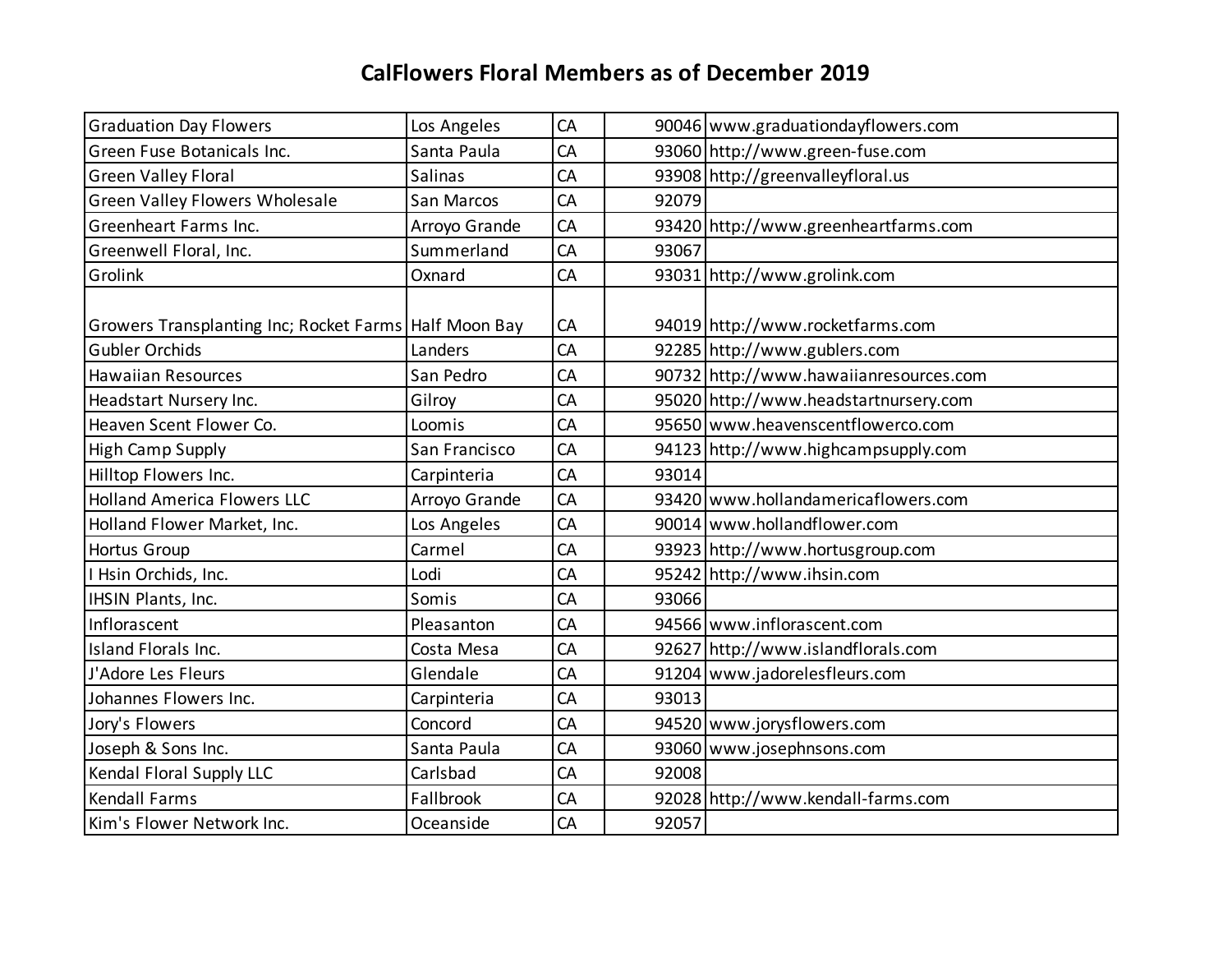| <b>Graduation Day Flowers</b>                           | Los Angeles   | CA |       | 90046 www.graduationdayflowers.com     |
|---------------------------------------------------------|---------------|----|-------|----------------------------------------|
| Green Fuse Botanicals Inc.                              | Santa Paula   | CA |       | 93060 http://www.green-fuse.com        |
| <b>Green Valley Floral</b>                              | Salinas       | CA |       | 93908 http://greenvalleyfloral.us      |
| Green Valley Flowers Wholesale                          | San Marcos    | CA | 92079 |                                        |
| Greenheart Farms Inc.                                   | Arroyo Grande | CA |       | 93420 http://www.greenheartfarms.com   |
| Greenwell Floral, Inc.                                  | Summerland    | CA | 93067 |                                        |
| Grolink                                                 | Oxnard        | CA |       | 93031 http://www.grolink.com           |
|                                                         |               |    |       |                                        |
| Growers Transplanting Inc; Rocket Farms   Half Moon Bay |               | CA |       | 94019 http://www.rocketfarms.com       |
| <b>Gubler Orchids</b>                                   | Landers       | CA |       | 92285 http://www.gublers.com           |
| <b>Hawaiian Resources</b>                               | San Pedro     | CA |       | 90732 http://www.hawaiianresources.com |
| Headstart Nursery Inc.                                  | Gilroy        | CA |       | 95020 http://www.headstartnursery.com  |
| Heaven Scent Flower Co.                                 | Loomis        | CA |       | 95650 www.heavenscentflowerco.com      |
| <b>High Camp Supply</b>                                 | San Francisco | CA |       | 94123 http://www.highcampsupply.com    |
| Hilltop Flowers Inc.                                    | Carpinteria   | CA | 93014 |                                        |
| <b>Holland America Flowers LLC</b>                      | Arroyo Grande | CA |       | 93420 www.hollandamericaflowers.com    |
| Holland Flower Market, Inc.                             | Los Angeles   | CA |       | 90014 www.hollandflower.com            |
| Hortus Group                                            | Carmel        | CA |       | 93923 http://www.hortusgroup.com       |
| I Hsin Orchids, Inc.                                    | Lodi          | CA |       | 95242 http://www.ihsin.com             |
| IHSIN Plants, Inc.                                      | Somis         | CA | 93066 |                                        |
| Inflorascent                                            | Pleasanton    | CA |       | 94566 www.inflorascent.com             |
| Island Florals Inc.                                     | Costa Mesa    | CA |       | 92627 http://www.islandflorals.com     |
| J'Adore Les Fleurs                                      | Glendale      | CA |       | 91204 www.jadorelesfleurs.com          |
| Johannes Flowers Inc.                                   | Carpinteria   | CA | 93013 |                                        |
| Jory's Flowers                                          | Concord       | CA |       | 94520 www.jorysflowers.com             |
| Joseph & Sons Inc.                                      | Santa Paula   | CA |       | 93060 www.josephnsons.com              |
| Kendal Floral Supply LLC                                | Carlsbad      | CA | 92008 |                                        |
| <b>Kendall Farms</b>                                    | Fallbrook     | CA |       | 92028 http://www.kendall-farms.com     |
| Kim's Flower Network Inc.                               | Oceanside     | CA | 92057 |                                        |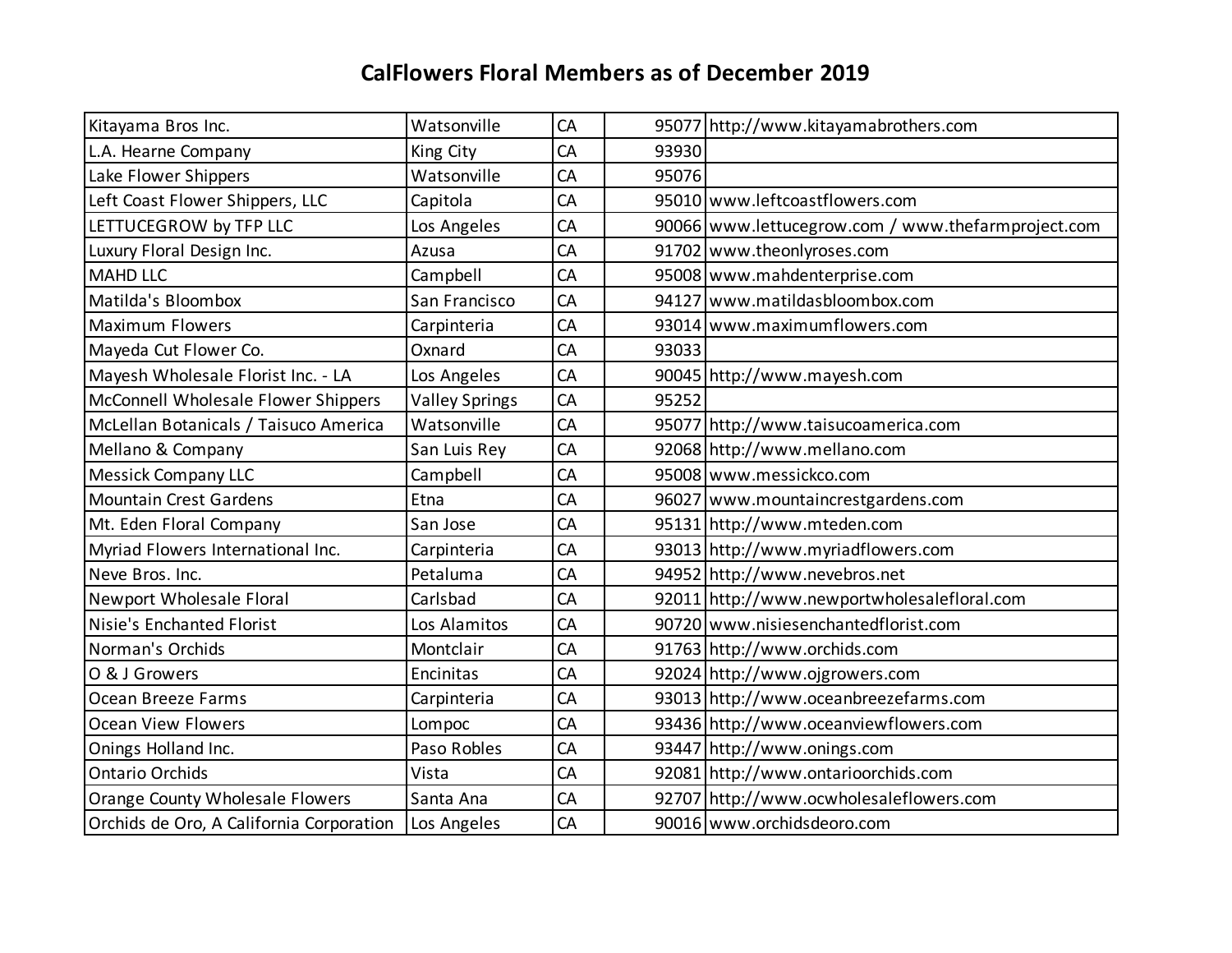| Kitayama Bros Inc.                       | Watsonville           | CA |       | 95077 http://www.kitayamabrothers.com              |
|------------------------------------------|-----------------------|----|-------|----------------------------------------------------|
| L.A. Hearne Company                      | King City             | CA | 93930 |                                                    |
| Lake Flower Shippers                     | Watsonville           | CA | 95076 |                                                    |
| Left Coast Flower Shippers, LLC          | Capitola              | CA |       | 95010 www.leftcoastflowers.com                     |
| LETTUCEGROW by TFP LLC                   | Los Angeles           | CA |       | 90066 www.lettucegrow.com / www.thefarmproject.com |
| Luxury Floral Design Inc.                | Azusa                 | CA |       | 91702 www.theonlyroses.com                         |
| <b>MAHD LLC</b>                          | Campbell              | CA |       | 95008 www.mahdenterprise.com                       |
| Matilda's Bloombox                       | San Francisco         | CA |       | 94127 www.matildasbloombox.com                     |
| <b>Maximum Flowers</b>                   | Carpinteria           | CA |       | 93014 www.maximumflowers.com                       |
| Mayeda Cut Flower Co.                    | Oxnard                | CA | 93033 |                                                    |
| Mayesh Wholesale Florist Inc. - LA       | Los Angeles           | CA |       | 90045 http://www.mayesh.com                        |
| McConnell Wholesale Flower Shippers      | <b>Valley Springs</b> | CA | 95252 |                                                    |
| McLellan Botanicals / Taisuco America    | Watsonville           | CA |       | 95077 http://www.taisucoamerica.com                |
| Mellano & Company                        | San Luis Rey          | CA |       | 92068 http://www.mellano.com                       |
| <b>Messick Company LLC</b>               | Campbell              | CA |       | 95008 www.messickco.com                            |
| <b>Mountain Crest Gardens</b>            | Etna                  | CA |       | 96027 www.mountaincrestgardens.com                 |
| Mt. Eden Floral Company                  | San Jose              | CA |       | 95131 http://www.mteden.com                        |
| Myriad Flowers International Inc.        | Carpinteria           | CA |       | 93013 http://www.myriadflowers.com                 |
| Neve Bros. Inc.                          | Petaluma              | CA |       | 94952 http://www.nevebros.net                      |
| Newport Wholesale Floral                 | Carlsbad              | CA |       | 92011 http://www.newportwholesalefloral.com        |
| Nisie's Enchanted Florist                | Los Alamitos          | CA |       | 90720 www.nisiesenchantedflorist.com               |
| Norman's Orchids                         | Montclair             | CA |       | 91763 http://www.orchids.com                       |
| O & J Growers                            | Encinitas             | CA |       | 92024 http://www.ojgrowers.com                     |
| Ocean Breeze Farms                       | Carpinteria           | CA |       | 93013 http://www.oceanbreezefarms.com              |
| <b>Ocean View Flowers</b>                | Lompoc                | CA |       | 93436 http://www.oceanviewflowers.com              |
| Onings Holland Inc.                      | Paso Robles           | CA |       | 93447 http://www.onings.com                        |
| <b>Ontario Orchids</b>                   | Vista                 | CA |       | 92081 http://www.ontarioorchids.com                |
| Orange County Wholesale Flowers          | Santa Ana             | CA |       | 92707 http://www.ocwholesaleflowers.com            |
| Orchids de Oro, A California Corporation | Los Angeles           | CA |       | 90016 www.orchidsdeoro.com                         |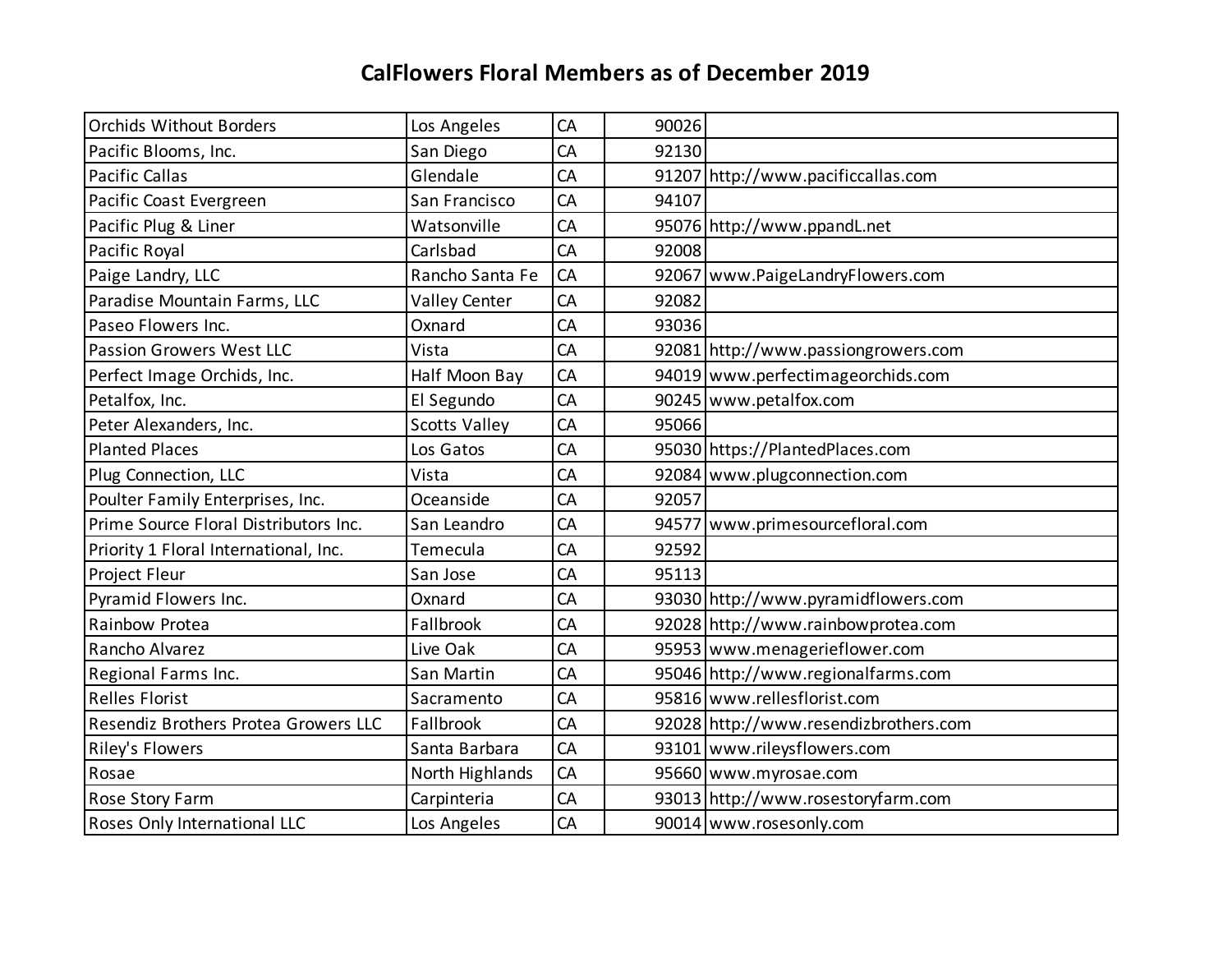| <b>Orchids Without Borders</b>        | Los Angeles          | CA        | 90026 |                                       |
|---------------------------------------|----------------------|-----------|-------|---------------------------------------|
| Pacific Blooms, Inc.                  | San Diego            | CA        | 92130 |                                       |
| <b>Pacific Callas</b>                 | Glendale             | CA        |       | 91207 http://www.pacificcallas.com    |
| Pacific Coast Evergreen               | San Francisco        | CA        | 94107 |                                       |
| Pacific Plug & Liner                  | Watsonville          | <b>CA</b> |       | 95076 http://www.ppandL.net           |
| Pacific Royal                         | Carlsbad             | CA        | 92008 |                                       |
| Paige Landry, LLC                     | Rancho Santa Fe      | CA        |       | 92067 www.PaigeLandryFlowers.com      |
| Paradise Mountain Farms, LLC          | Valley Center        | CA        | 92082 |                                       |
| Paseo Flowers Inc.                    | Oxnard               | CA        | 93036 |                                       |
| Passion Growers West LLC              | Vista                | CA        |       | 92081 http://www.passiongrowers.com   |
| Perfect Image Orchids, Inc.           | Half Moon Bay        | CA        |       | 94019 www.perfectimageorchids.com     |
| Petalfox, Inc.                        | El Segundo           | CA        |       | 90245 www.petalfox.com                |
| Peter Alexanders, Inc.                | <b>Scotts Valley</b> | CA        | 95066 |                                       |
| <b>Planted Places</b>                 | Los Gatos            | CA        |       | 95030 https://PlantedPlaces.com       |
| Plug Connection, LLC                  | Vista                | CA        |       | 92084 www.plugconnection.com          |
| Poulter Family Enterprises, Inc.      | Oceanside            | CA        | 92057 |                                       |
| Prime Source Floral Distributors Inc. | San Leandro          | CA        |       | 94577 www.primesourcefloral.com       |
| Priority 1 Floral International, Inc. | Temecula             | CA        | 92592 |                                       |
| Project Fleur                         | San Jose             | CA        | 95113 |                                       |
| Pyramid Flowers Inc.                  | Oxnard               | CA        |       | 93030 http://www.pyramidflowers.com   |
| Rainbow Protea                        | Fallbrook            | CA        |       | 92028 http://www.rainbowprotea.com    |
| Rancho Alvarez                        | Live Oak             | CA        |       | 95953 www.menagerieflower.com         |
| Regional Farms Inc.                   | San Martin           | CA        |       | 95046 http://www.regionalfarms.com    |
| <b>Relles Florist</b>                 | Sacramento           | CA        |       | 95816 www.rellesflorist.com           |
| Resendiz Brothers Protea Growers LLC  | Fallbrook            | CA        |       | 92028 http://www.resendizbrothers.com |
| Riley's Flowers                       | Santa Barbara        | CA        |       | 93101 www.rileysflowers.com           |
| Rosae                                 | North Highlands      | CA        |       | 95660 www.myrosae.com                 |
| Rose Story Farm                       | Carpinteria          | CA        |       | 93013 http://www.rosestoryfarm.com    |
| Roses Only International LLC          | Los Angeles          | CA        |       | 90014 www.rosesonly.com               |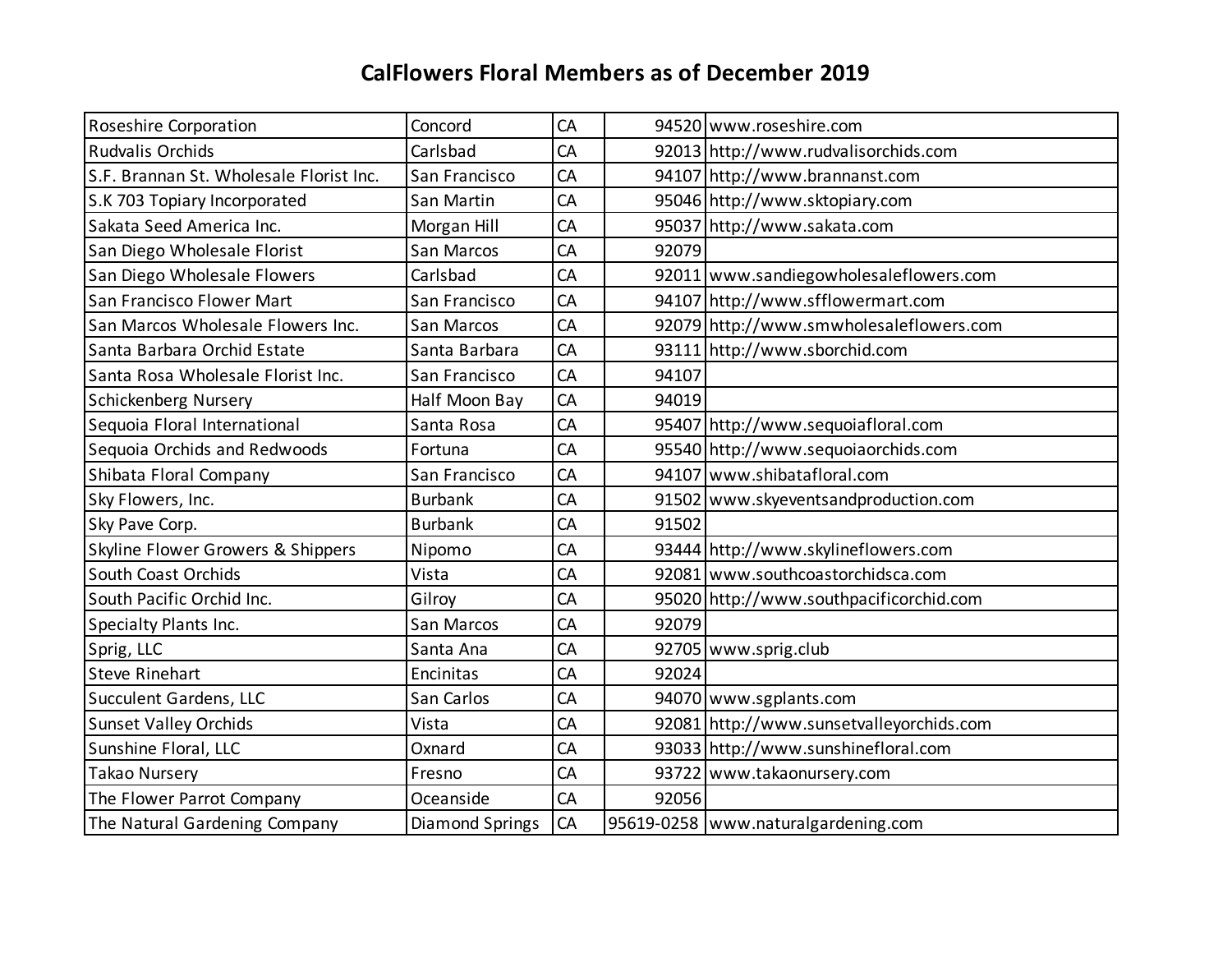| <b>Roseshire Corporation</b>                 | Concord                | CA |       | 94520 www.roseshire.com                  |
|----------------------------------------------|------------------------|----|-------|------------------------------------------|
| Rudvalis Orchids                             | Carlsbad               | CA |       | 92013 http://www.rudvalisorchids.com     |
| S.F. Brannan St. Wholesale Florist Inc.      | San Francisco          | CA |       | 94107 http://www.brannanst.com           |
| S.K 703 Topiary Incorporated                 | San Martin             | CA |       | 95046 http://www.sktopiary.com           |
| Sakata Seed America Inc.                     | Morgan Hill            | CA |       | 95037 http://www.sakata.com              |
| San Diego Wholesale Florist                  | San Marcos             | CA | 92079 |                                          |
| San Diego Wholesale Flowers                  | Carlsbad               | CA |       | 92011 www.sandiegowholesaleflowers.com   |
| San Francisco Flower Mart                    | San Francisco          | CA |       | 94107 http://www.sfflowermart.com        |
| San Marcos Wholesale Flowers Inc.            | San Marcos             | CA |       | 92079 http://www.smwholesaleflowers.com  |
| Santa Barbara Orchid Estate                  | Santa Barbara          | CA |       | 93111 http://www.sborchid.com            |
| Santa Rosa Wholesale Florist Inc.            | San Francisco          | CA | 94107 |                                          |
| Schickenberg Nursery                         | Half Moon Bay          | CA | 94019 |                                          |
| Sequoia Floral International                 | Santa Rosa             | CA |       | 95407 http://www.sequoiafloral.com       |
| Sequoia Orchids and Redwoods                 | Fortuna                | CA |       | 95540 http://www.sequoiaorchids.com      |
| Shibata Floral Company                       | San Francisco          | CA |       | 94107 www.shibatafloral.com              |
| Sky Flowers, Inc.                            | <b>Burbank</b>         | CA |       | 91502 www.skyeventsandproduction.com     |
| Sky Pave Corp.                               | <b>Burbank</b>         | CA | 91502 |                                          |
| <b>Skyline Flower Growers &amp; Shippers</b> | Nipomo                 | CA |       | 93444 http://www.skylineflowers.com      |
| South Coast Orchids                          | Vista                  | CA |       | 92081 www.southcoastorchidsca.com        |
| South Pacific Orchid Inc.                    | Gilroy                 | CA |       | 95020 http://www.southpacificorchid.com  |
| Specialty Plants Inc.                        | San Marcos             | CA | 92079 |                                          |
| Sprig, LLC                                   | Santa Ana              | CA |       | 92705 www.sprig.club                     |
| <b>Steve Rinehart</b>                        | Encinitas              | CA | 92024 |                                          |
| <b>Succulent Gardens, LLC</b>                | San Carlos             | CA |       | 94070 www.sgplants.com                   |
| <b>Sunset Valley Orchids</b>                 | Vista                  | CA |       | 92081 http://www.sunsetvalleyorchids.com |
| Sunshine Floral, LLC                         | Oxnard                 | CA |       | 93033 http://www.sunshinefloral.com      |
| Takao Nursery                                | Fresno                 | CA |       | 93722 www.takaonursery.com               |
| The Flower Parrot Company                    | Oceanside              | CA | 92056 |                                          |
| The Natural Gardening Company                | <b>Diamond Springs</b> | CA |       | 95619-0258   www.naturalgardening.com    |